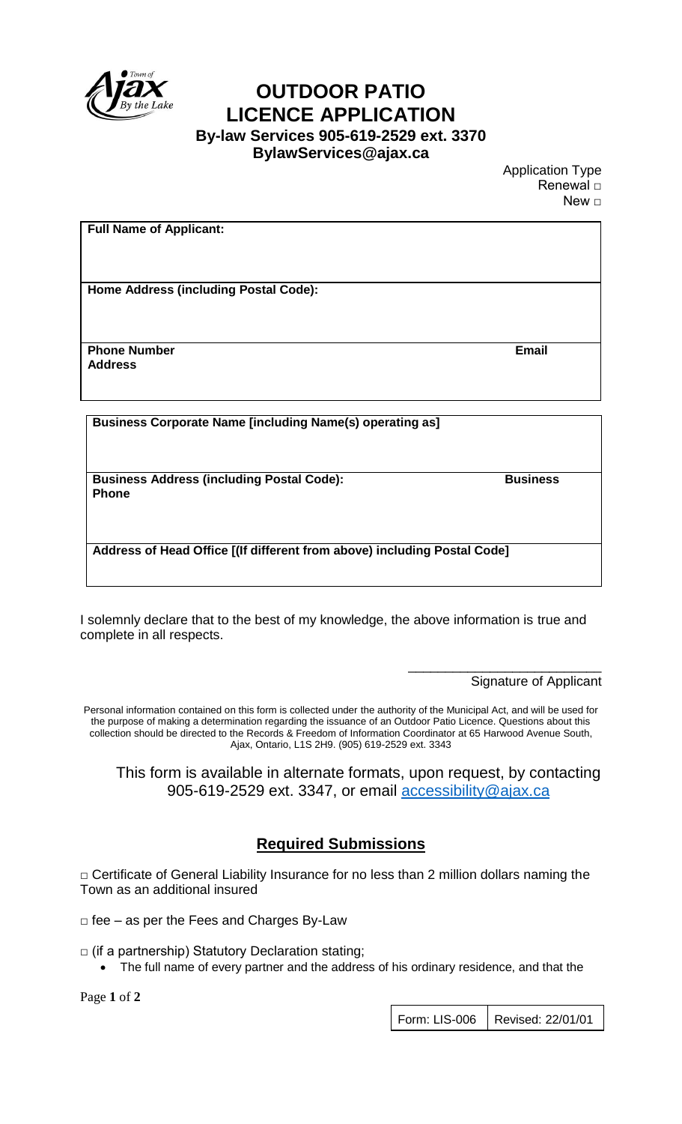

## **OUTDOOR PATIO LICENCE APPLICATION By-law Services 905-619-2529 ext. 3370**

**BylawServices@ajax.ca**

Application Type Renewal □ New □

| <b>Full Name of Applicant:</b>                                  |              |
|-----------------------------------------------------------------|--------------|
|                                                                 |              |
|                                                                 |              |
|                                                                 |              |
|                                                                 |              |
|                                                                 |              |
| <b>Home Address (including Postal Code):</b>                    |              |
|                                                                 |              |
|                                                                 |              |
|                                                                 |              |
|                                                                 |              |
| <b>Phone Number</b>                                             | <b>Email</b> |
|                                                                 |              |
| <b>Address</b>                                                  |              |
|                                                                 |              |
|                                                                 |              |
|                                                                 |              |
|                                                                 |              |
| <b>Business Corporate Name [including Name(s) operating as]</b> |              |
|                                                                 |              |

**Business Address (including Postal Code): Business Phone**

**Address of Head Office [(If different from above) including Postal Code]** 

I solemnly declare that to the best of my knowledge, the above information is true and complete in all respects.

> \_\_\_\_\_\_\_\_\_\_\_\_\_\_\_\_\_\_\_\_\_\_\_\_\_\_ Signature of Applicant

Personal information contained on this form is collected under the authority of the Municipal Act, and will be used for the purpose of making a determination regarding the issuance of an Outdoor Patio Licence. Questions about this collection should be directed to the Records & Freedom of Information Coordinator at 65 Harwood Avenue South, Ajax, Ontario, L1S 2H9. (905) 619-2529 ext. 3343

This form is available in alternate formats, upon request, by contacting 905-619-2529 ext. 3347, or email [accessibility@ajax.ca](mailto:accessibility@ajax.ca)

## **Required Submissions**

□ Certificate of General Liability Insurance for no less than 2 million dollars naming the Town as an additional insured

 $\Box$  fee – as per the Fees and Charges By-Law

 $\Box$  (if a partnership) Statutory Declaration stating;

The full name of every partner and the address of his ordinary residence, and that the

Page **1** of **2**

Form: LIS-006 | Revised: 22/01/01